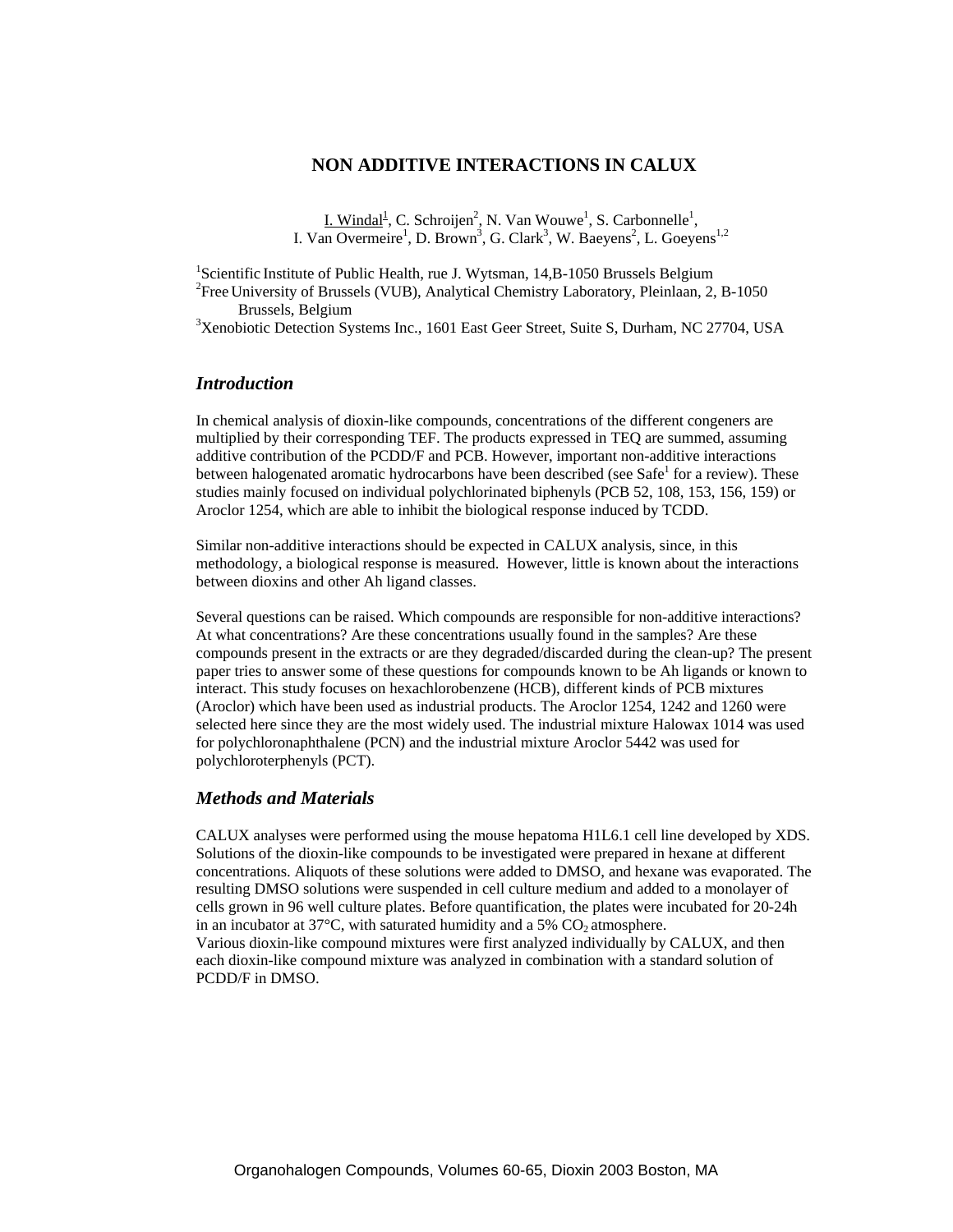## **NON ADDITIVE INTERACTIONS IN CALUX**

 $I.$  Windal<sup>1</sup>, C. Schroijen<sup>2</sup>, N. Van Wouwe<sup>1</sup>, S. Carbonnelle<sup>1</sup>, I. Van Overmeire<sup>1</sup>, D. Brown<sup>3</sup>, G. Clark<sup>3</sup>, W. Baeyens<sup>2</sup>, L. Goeyens<sup>1,2</sup>

<sup>1</sup>Scientific Institute of Public Health, rue J. Wytsman, 14,B-1050 Brussels Belgium<br><sup>2</sup>Free University of Brussels (VUP), Applytical Chamistry Leberstony, Plainleap, 2 Free University of Brussels (VUB), Analytical Chemistry Laboratory, Pleinlaan, 2, B-1050 Brussels, Belgium 3

<sup>3</sup>Xenobiotic Detection Systems Inc., 1601 East Geer Street, Suite S, Durham, NC 27704, USA

# *Introduction*

In chemical analysis of dioxin-like compounds, concentrations of the different congeners are multiplied by their corresponding TEF. The products expressed in TEQ are summed, assuming additive contribution of the PCDD/F and PCB. However, important non-additive interactions between halogenated aromatic hydrocarbons have been described (see Safe<sup>1</sup> for a review). These studies mainly focused on individual polychlorinated biphenyls (PCB 52, 108, 153, 156, 159) or Aroclor 1254, which are able to inhibit the biological response induced by TCDD.

Similar non-additive interactions should be expected in CALUX analysis, since, in this methodology, a biological response is measured. However, little is known about the interactions between dioxins and other Ah ligand classes.

Several questions can be raised. Which compounds are responsible for non-additive interactions? At what concentrations? Are these concentrations usually found in the samples? Are these compounds present in the extracts or are they degraded/discarded during the clean-up? The present paper tries to answer some of these questions for compounds known to be Ah ligands or known to interact. This study focuses on hexachlorobenzene (HCB), different kinds of PCB mixtures (Aroclor) which have been used as industrial products. The Aroclor 1254, 1242 and 1260 were selected here since they are the most widely used. The industrial mixture Halowax 1014 was used for polychloronaphthalene (PCN) and the industrial mixture Aroclor 5442 was used for polychloroterphenyls (PCT).

### *Methods and Materials*

CALUX analyses were performed using the mouse hepatoma H1L6.1 cell line developed by XDS. Solutions of the dioxin-like compounds to be investigated were prepared in hexane at different concentrations. Aliquots of these solutions were added to DMSO, and hexane was evaporated. The resulting DMSO solutions were suspended in cell culture medium and added to a monolayer of cells grown in 96 well culture plates. Before quantification, the plates were incubated for 20-24h in an incubator at  $37^{\circ}$ C, with saturated humidity and a 5% CO<sub>2</sub> atmosphere. Various dioxin-like compound mixtures were first analyzed individually by CALUX, and then each dioxin-like compound mixture was analyzed in combination with a standard solution of PCDD/F in DMSO.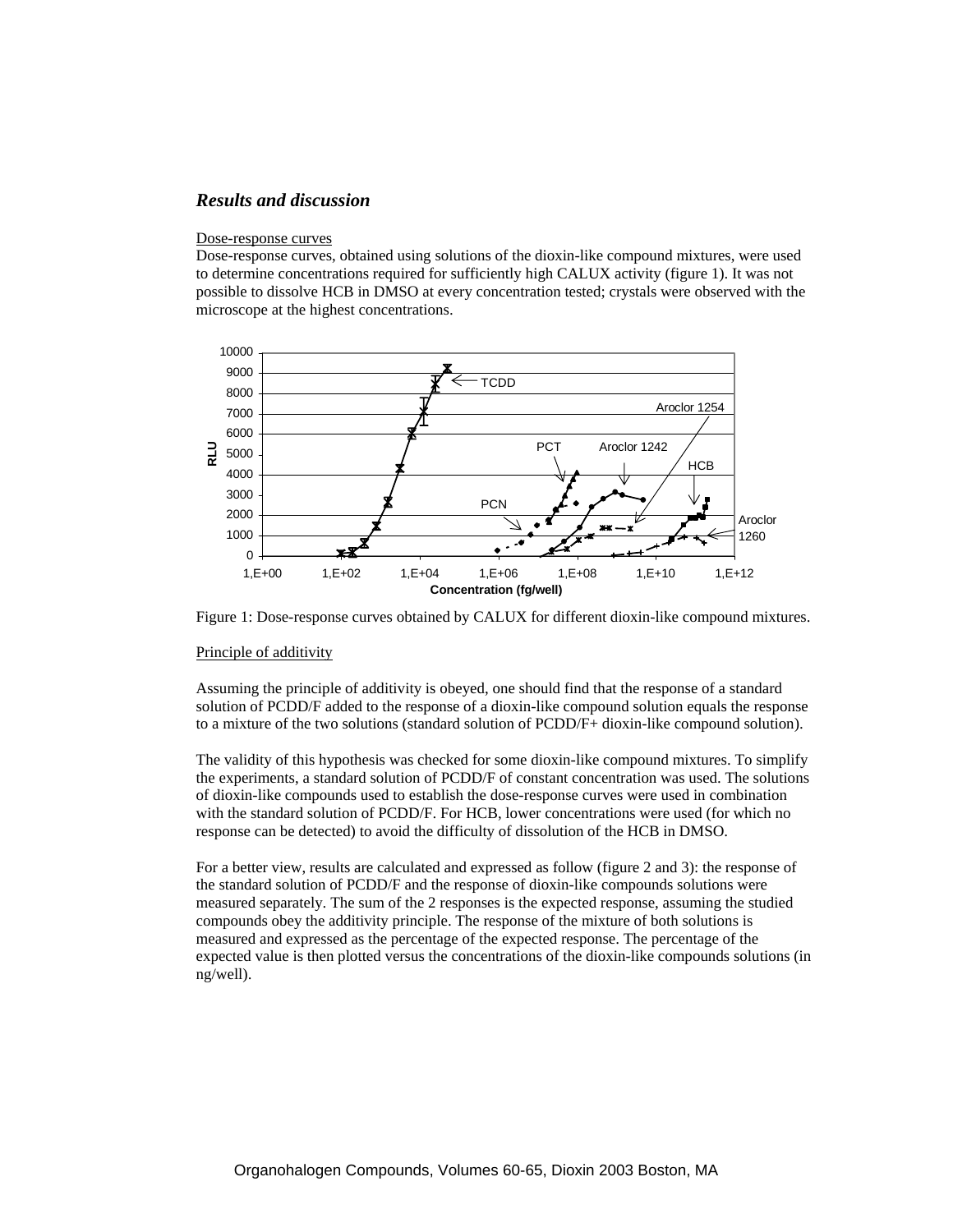# *Results and discussion*

#### Dose-response curves

Dose-response curves, obtained using solutions of the dioxin-like compound mixtures, were used to determine concentrations required for sufficiently high CALUX activity (figure 1). It was not possible to dissolve HCB in DMSO at every concentration tested; crystals were observed with the microscope at the highest concentrations.





#### Principle of additivity

Assuming the principle of additivity is obeyed, one should find that the response of a standard solution of PCDD/F added to the response of a dioxin-like compound solution equals the response to a mixture of the two solutions (standard solution of PCDD/F+ dioxin-like compound solution).

The validity of this hypothesis was checked for some dioxin-like compound mixtures. To simplify the experiments, a standard solution of PCDD/F of constant concentration was used. The solutions of dioxin-like compounds used to establish the dose-response curves were used in combination with the standard solution of PCDD/F. For HCB, lower concentrations were used (for which no response can be detected) to avoid the difficulty of dissolution of the HCB in DMSO.

For a better view, results are calculated and expressed as follow (figure 2 and 3): the response of the standard solution of PCDD/F and the response of dioxin-like compounds solutions were measured separately. The sum of the 2 responses is the expected response, assuming the studied compounds obey the additivity principle. The response of the mixture of both solutions is measured and expressed as the percentage of the expected response. The percentage of the expected value is then plotted versus the concentrations of the dioxin-like compounds solutions (in ng/well).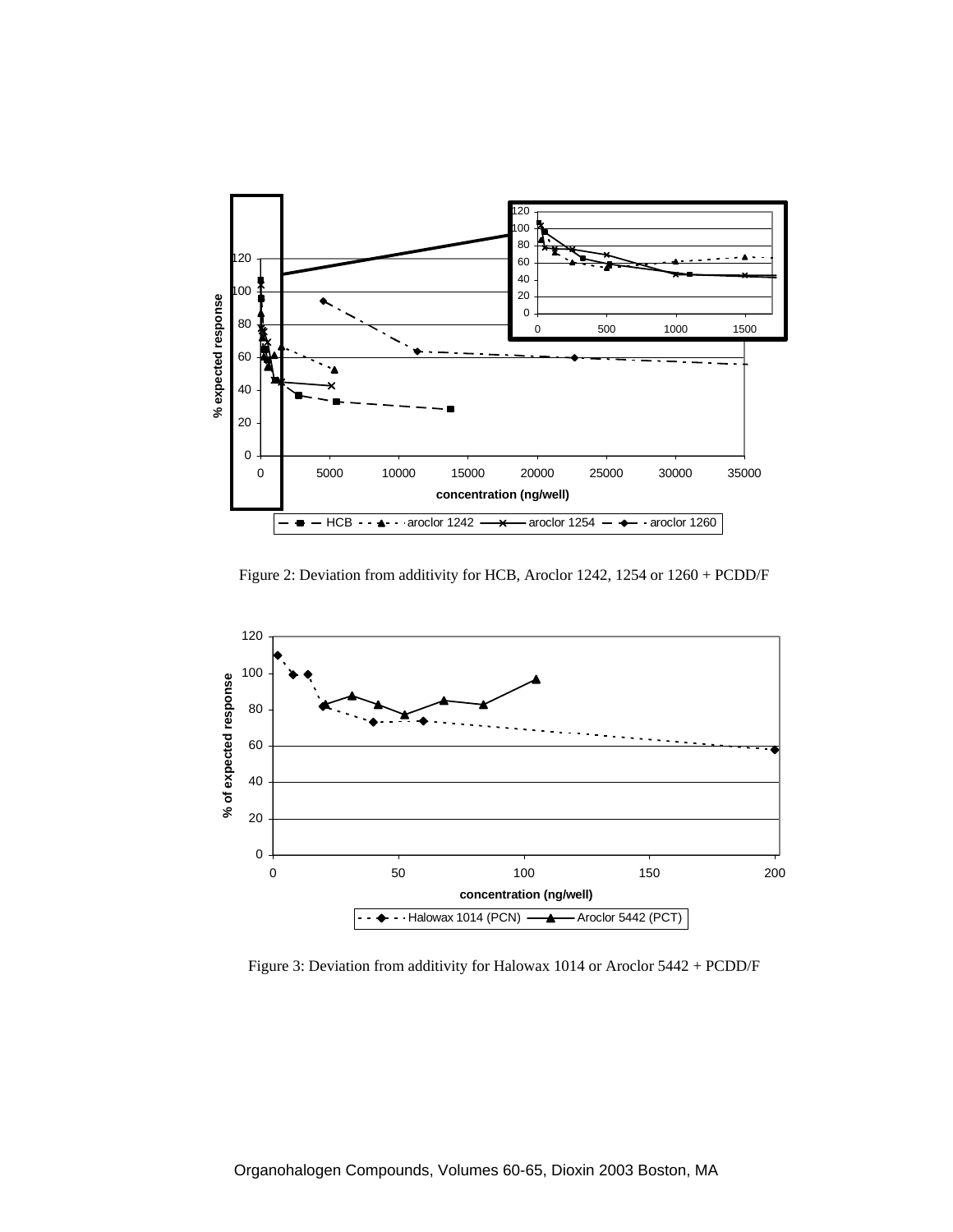

Figure 2: Deviation from additivity for HCB, Aroclor 1242, 1254 or 1260 + PCDD/F



Figure 3: Deviation from additivity for Halowax 1014 or Aroclor 5442 + PCDD/F